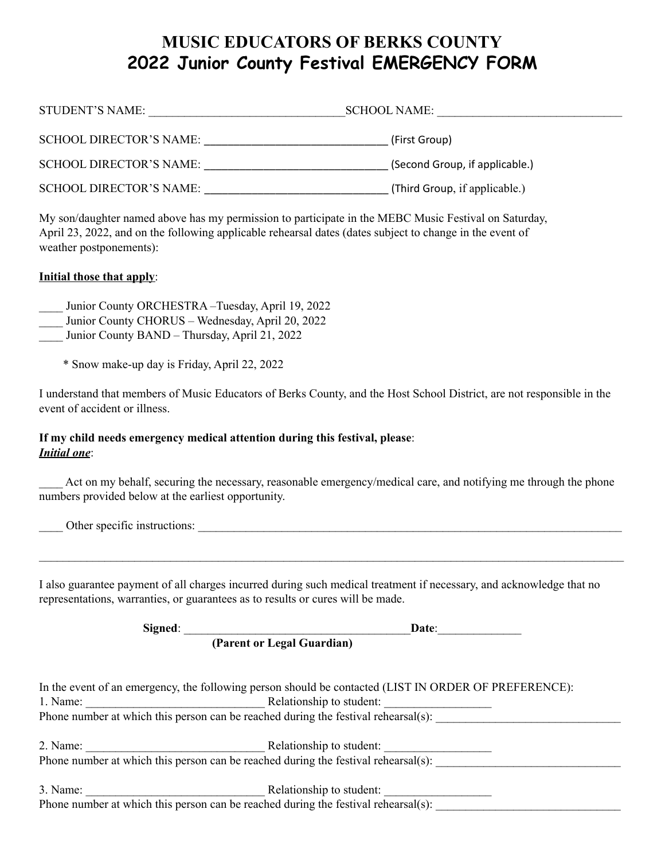# **MUSIC EDUCATORS OF BERKS COUNTY 2022 Junior County Festival EMERGENCY FORM**

| STUDENT'S NAME:                | <b>SCHOOL NAME:</b>            |
|--------------------------------|--------------------------------|
| <b>SCHOOL DIRECTOR'S NAME:</b> | (First Group)                  |
| <b>SCHOOL DIRECTOR'S NAME:</b> | (Second Group, if applicable.) |
| SCHOOL DIRECTOR'S NAME:        | (Third Group, if applicable.)  |

My son/daughter named above has my permission to participate in the MEBC Music Festival on Saturday, April 23, 2022, and on the following applicable rehearsal dates (dates subject to change in the event of weather postponements):

### **Initial those that apply**:

Junior County ORCHESTRA –Tuesday, April 19, 2022

Junior County CHORUS – Wednesday, April 20, 2022

Junior County BAND – Thursday, April 21, 2022

\* Snow make-up day is Friday, April 22, 2022

I understand that members of Music Educators of Berks County, and the Host School District, are not responsible in the event of accident or illness.

#### **If my child needs emergency medical attention during this festival, please**: *Initial one*:

Act on my behalf, securing the necessary, reasonable emergency/medical care, and notifying me through the phone numbers provided below at the earliest opportunity.

| Other specific instructions:                                                                                         |
|----------------------------------------------------------------------------------------------------------------------|
|                                                                                                                      |
|                                                                                                                      |
| I also guarantee payment of all charges incurred during such medical treatment if necessary, and acknowledge that no |
| representations, warranties, or guarantees as to results or cures will be made.                                      |

| Signed:                                                                            | Date:                                                                                                 |
|------------------------------------------------------------------------------------|-------------------------------------------------------------------------------------------------------|
| (Parent or Legal Guardian)                                                         |                                                                                                       |
|                                                                                    |                                                                                                       |
|                                                                                    | In the event of an emergency, the following person should be contacted (LIST IN ORDER OF PREFERENCE): |
|                                                                                    |                                                                                                       |
|                                                                                    | Phone number at which this person can be reached during the festival rehearsal(s):                    |
|                                                                                    |                                                                                                       |
|                                                                                    |                                                                                                       |
|                                                                                    | Phone number at which this person can be reached during the festival rehearsal(s):                    |
|                                                                                    |                                                                                                       |
| Phone number at which this person can be reached during the festival rehearsal(s): |                                                                                                       |